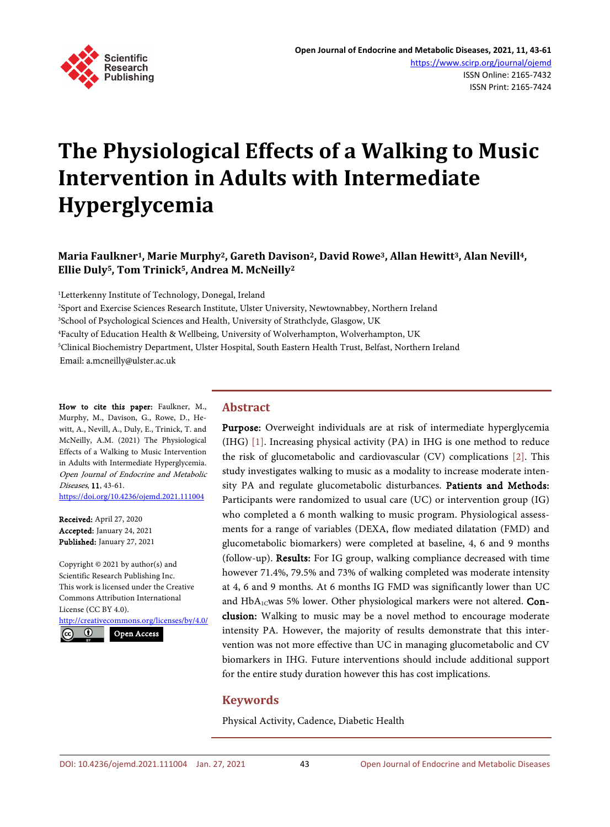

# **The Physiological Effects of a Walking to Music Intervention in Adults with Intermediate Hyperglycemia**

# **Maria Faulkner1, Marie Murphy2, Gareth Davison2, David Rowe3, Allan Hewitt3, Alan Nevill4, Ellie Duly5, Tom Trinick5, Andrea M. McNeilly2**

1 Letterkenny Institute of Technology, Donegal, Ireland

 Sport and Exercise Sciences Research Institute, Ulster University, Newtownabbey, Northern Ireland School of Psychological Sciences and Health, University of Strathclyde, Glasgow, UK Faculty of Education Health & Wellbeing, University of Wolverhampton, Wolverhampton, UK Clinical Biochemistry Department, Ulster Hospital, South Eastern Health Trust, Belfast, Northern Ireland Email: a.mcneilly@ulster.ac.uk

How to cite this paper: Faulkner, M., Murphy, M., Davison, G., Rowe, D., Hewitt, A., Nevill, A., Duly, E., Trinick, T. and McNeilly, A.M. (2021) The Physiological Effects of a Walking to Music Intervention in Adults with Intermediate Hyperglycemia. Open Journal of Endocrine and Metabolic Diseases, 11, 43-61. <https://doi.org/10.4236/ojemd.2021.111004>

Received: April 27, 2020 Accepted: January 24, 2021 Published: January 27, 2021

Copyright © 2021 by author(s) and Scientific Research Publishing Inc. This work is licensed under the Creative Commons Attribution International License (CC BY 4.0).

<http://creativecommons.org/licenses/by/4.0/>  $\odot$ Open Access

# **Abstract**

Purpose: Overweight individuals are at risk of intermediate hyperglycemia (IHG) [\[1\].](#page-15-0) Increasing physical activity (PA) in IHG is one method to reduce the risk of glucometabolic and cardiovascular (CV) complications [\[2\].](#page-15-1) This study investigates walking to music as a modality to increase moderate intensity PA and regulate glucometabolic disturbances. Patients and Methods: Participants were randomized to usual care (UC) or intervention group (IG) who completed a 6 month walking to music program. Physiological assessments for a range of variables (DEXA, flow mediated dilatation (FMD) and glucometabolic biomarkers) were completed at baseline, 4, 6 and 9 months (follow-up). Results: For IG group, walking compliance decreased with time however 71.4%, 79.5% and 73% of walking completed was moderate intensity at 4, 6 and 9 months. At 6 months IG FMD was significantly lower than UC and  $HbA_{1C}$ was 5% lower. Other physiological markers were not altered. Conclusion: Walking to music may be a novel method to encourage moderate intensity PA. However, the majority of results demonstrate that this intervention was not more effective than UC in managing glucometabolic and CV biomarkers in IHG. Future interventions should include additional support for the entire study duration however this has cost implications.

# **Keywords**

Physical Activity, Cadence, Diabetic Health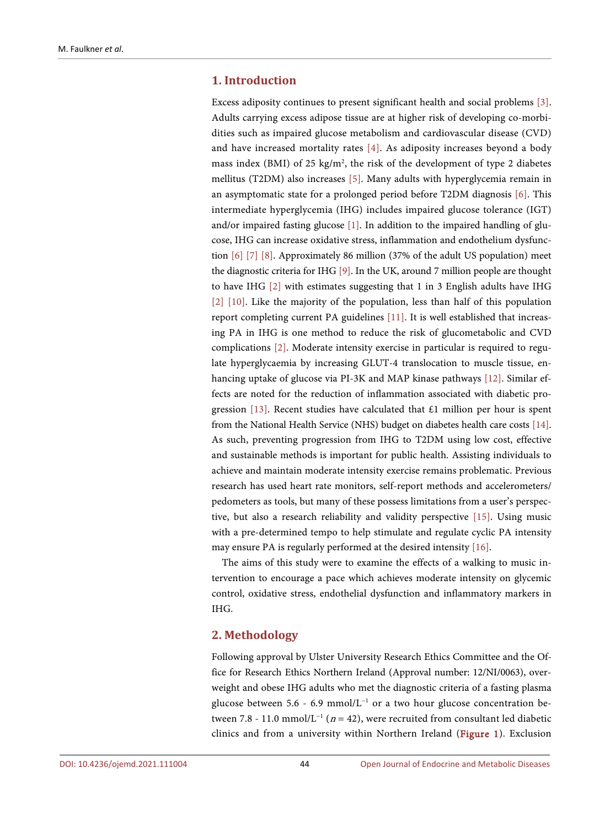# **1. Introduction**

Excess adiposity continues to present significant health and social problems [\[3\].](#page-15-2)  Adults carrying excess adipose tissue are at higher risk of developing co-morbidities such as impaired glucose metabolism and cardiovascular disease (CVD) and have increased mortality rates [\[4\].](#page-15-3) As adiposity increases beyond a body mass index (BMI) of 25  $\text{kg/m}^2$ , the risk of the development of type 2 diabetes mellitus (T2DM) also increases [\[5\].](#page-15-4) Many adults with hyperglycemia remain in an asymptomatic state for a prolonged period before T2DM diagnosis [\[6\].](#page-15-5) This intermediate hyperglycemia (IHG) includes impaired glucose tolerance (IGT) and/or impaired fasting glucose [\[1\].](#page-15-0) In addition to the impaired handling of glucose, IHG can increase oxidative stress, inflammation and endothelium dysfunction [\[6\]](#page-15-5) [\[7\]](#page-15-6) [\[8\].](#page-16-0) Approximately 86 million (37% of the adult US population) meet the diagnostic criteria for IHG [\[9\].](#page-16-1) In the UK, around 7 million people are thought to have IHG [\[2\]](#page-15-1) with estimates suggesting that 1 in 3 English adults have IHG [\[2\]](#page-15-1) [\[10\].](#page-16-2) Like the majority of the population, less than half of this population report completing current PA guidelines [\[11\].](#page-16-3) It is well established that increasing PA in IHG is one method to reduce the risk of glucometabolic and CVD complications [\[2\].](#page-15-1) Moderate intensity exercise in particular is required to regulate hyperglycaemia by increasing GLUT-4 translocation to muscle tissue, enhancing uptake of glucose via PI-3K and MAP kinase pathways [\[12\].](#page-16-4) Similar effects are noted for the reduction of inflammation associated with diabetic pro-gression [\[13\].](#page-16-5) Recent studies have calculated that £1 million per hour is spent from the National Health Service (NHS) budget on diabetes health care costs [\[14\].](#page-16-6) As such, preventing progression from IHG to T2DM using low cost, effective and sustainable methods is important for public health. Assisting individuals to achieve and maintain moderate intensity exercise remains problematic. Previous research has used heart rate monitors, self-report methods and accelerometers/ pedometers as tools, but many of these possess limitations from a user's perspective, but also a research reliability and validity perspective [\[15\].](#page-16-7) Using music with a pre-determined tempo to help stimulate and regulate cyclic PA intensity may ensure PA is regularly performed at the desired intensity [\[16\].](#page-16-8)

The aims of this study were to examine the effects of a walking to music intervention to encourage a pace which achieves moderate intensity on glycemic control, oxidative stress, endothelial dysfunction and inflammatory markers in IHG.

# **2. Methodology**

Following approval by Ulster University Research Ethics Committee and the Office for Research Ethics Northern Ireland (Approval number: 12/NI/0063), overweight and obese IHG adults who met the diagnostic criteria of a fasting plasma glucose between 5.6 - 6.9 mmol/L<sup>-1</sup> or a two hour glucose concentration between 7.8 - 11.0 mmol/L<sup>-1</sup> (n = 42), were recruited from consultant led diabetic clinics and from a university within Northern Ireland [\(Figure 1\)](#page-2-0). Exclusion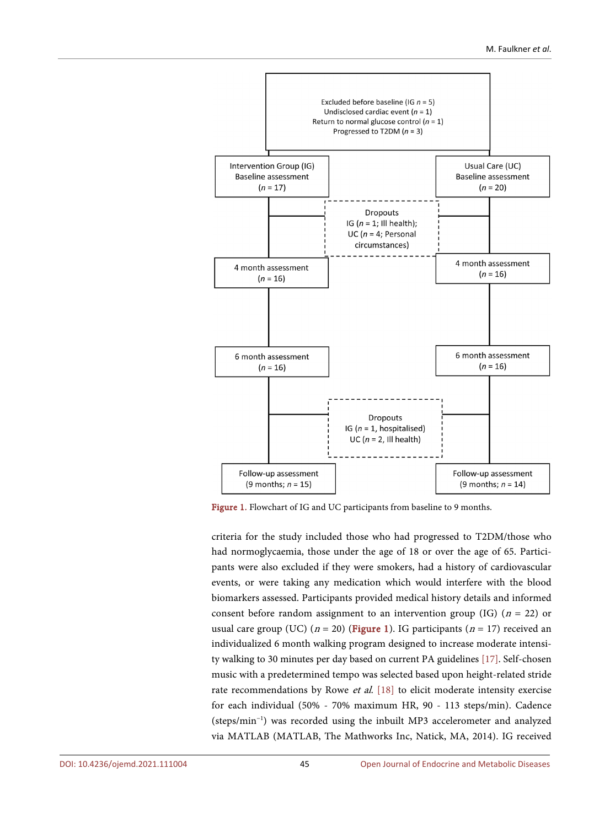<span id="page-2-0"></span>

Figure 1. Flowchart of IG and UC participants from baseline to 9 months.

criteria for the study included those who had progressed to T2DM/those who had normoglycaemia, those under the age of 18 or over the age of 65. Participants were also excluded if they were smokers, had a history of cardiovascular events, or were taking any medication which would interfere with the blood biomarkers assessed. Participants provided medical history details and informed consent before random assignment to an intervention group (IG) ( $n = 22$ ) or usual care group (UC) ( $n = 20$ ) [\(Figure 1\)](#page-2-0). IG participants ( $n = 17$ ) received an individualized 6 month walking program designed to increase moderate intensity walking to 30 minutes per day based on current PA guidelines [\[17\].](#page-16-9) Self-chosen music with a predetermined tempo was selected based upon height-related stride rate recommendations by Rowe et al. [\[18\]](#page-16-10) to elicit moderate intensity exercise for each individual (50% - 70% maximum HR, 90 - 113 steps/min). Cadence (steps/min−1 ) was recorded using the inbuilt MP3 accelerometer and analyzed via MATLAB (MATLAB, The Mathworks Inc, Natick, MA, 2014). IG received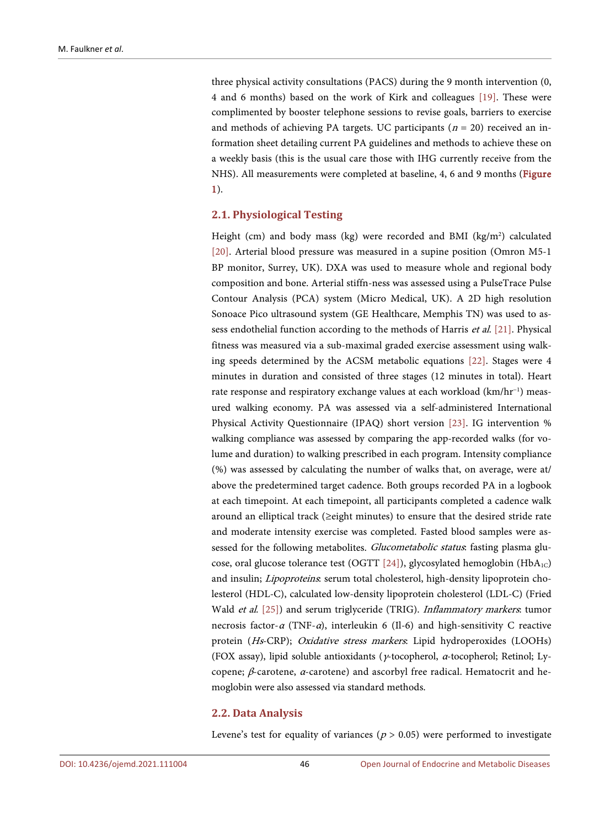three physical activity consultations (PACS) during the 9 month intervention (0, 4 and 6 months) based on the work of Kirk and colleagues [\[19\].](#page-16-11) These were complimented by booster telephone sessions to revise goals, barriers to exercise and methods of achieving PA targets. UC participants ( $n = 20$ ) received an information sheet detailing current PA guidelines and methods to achieve these on a weekly basis (this is the usual care those with IHG currently receive from the NHS). All measurements were completed at baseline, 4, 6 and 9 months [\(Figure](#page-2-0)  [1\)](#page-2-0).

# **2.1. Physiological Testing**

Height (cm) and body mass (kg) were recorded and BMI (kg/m<sup>2</sup>) calculated [\[20\].](#page-16-12) Arterial blood pressure was measured in a supine position (Omron M5-1 BP monitor, Surrey, UK). DXA was used to measure whole and regional body composition and bone. Arterial stiffn-ness was assessed using a PulseTrace Pulse Contour Analysis (PCA) system (Micro Medical, UK). A 2D high resolution Sonoace Pico ultrasound system (GE Healthcare, Memphis TN) was used to assess endothelial function according to the methods of Harris et al. [\[21\].](#page-16-13) Physical fitness was measured via a sub-maximal graded exercise assessment using walking speeds determined by the ACSM metabolic equations [\[22\].](#page-17-0) Stages were 4 minutes in duration and consisted of three stages (12 minutes in total). Heart rate response and respiratory exchange values at each workload (km/hr−1 ) measured walking economy. PA was assessed via a self-administered International Physical Activity Questionnaire (IPAQ) short version [\[23\].](#page-17-1) IG intervention % walking compliance was assessed by comparing the app-recorded walks (for volume and duration) to walking prescribed in each program. Intensity compliance (%) was assessed by calculating the number of walks that, on average, were at/ above the predetermined target cadence. Both groups recorded PA in a logbook at each timepoint. At each timepoint, all participants completed a cadence walk around an elliptical track (≥eight minutes) to ensure that the desired stride rate and moderate intensity exercise was completed. Fasted blood samples were assessed for the following metabolites. Glucometabolic status: fasting plasma glu-cose, oral glucose tolerance test (OGTT [\[24\]\)](#page-17-2), glycosylated hemoglobin (HbA<sub>1C</sub>) and insulin; Lipoproteins: serum total cholesterol, high-density lipoprotein cholesterol (HDL-C), calculated low-density lipoprotein cholesterol (LDL-C) (Fried Wald et al. [\[25\]\)](#page-17-3) and serum triglyceride (TRIG). Inflammatory markers: tumor necrosis factor- $\alpha$  (TNF- $\alpha$ ), interleukin 6 (Il-6) and high-sensitivity C reactive protein (Hs-CRP); Oxidative stress markers: Lipid hydroperoxides (LOOHs) (FOX assay), lipid soluble antioxidants (γ-tocopherol, α-tocopherol; Retinol; Lycopene; β-carotene,  $α$ -carotene) and ascorbyl free radical. Hematocrit and hemoglobin were also assessed via standard methods.

## **2.2. Data Analysis**

Levene's test for equality of variances ( $p > 0.05$ ) were performed to investigate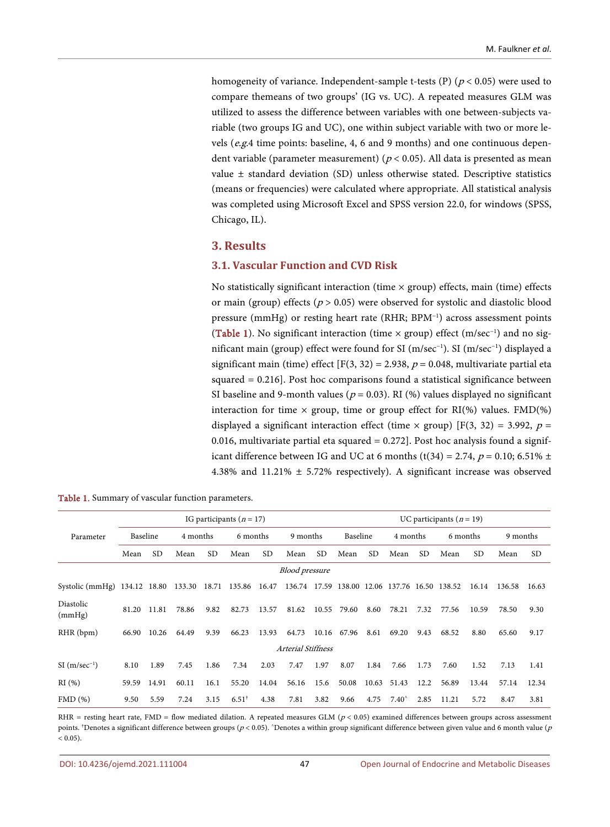homogeneity of variance. Independent-sample t-tests (P) ( $p$  < 0.05) were used to compare themeans of two groups' (IG vs. UC). A repeated measures GLM was utilized to assess the difference between variables with one between-subjects variable (two groups IG and UC), one within subject variable with two or more levels (e.g.4 time points: baseline, 4, 6 and 9 months) and one continuous dependent variable (parameter measurement) ( $p < 0.05$ ). All data is presented as mean value ± standard deviation (SD) unless otherwise stated. Descriptive statistics (means or frequencies) were calculated where appropriate. All statistical analysis was completed using Microsoft Excel and SPSS version 22.0, for windows (SPSS, Chicago, IL).

# **3. Results**

## **3.1. Vascular Function and CVD Risk**

No statistically significant interaction (time  $\times$  group) effects, main (time) effects or main (group) effects ( $p > 0.05$ ) were observed for systolic and diastolic blood pressure (mmHg) or resting heart rate (RHR; BPM<sup>-1</sup>) across assessment points [\(Table 1\)](#page-4-0). No significant interaction (time × group) effect (m/sec<sup>-1</sup>) and no significant main (group) effect were found for SI (m/sec−1 ). SI (m/sec−1 ) displayed a significant main (time) effect [F(3, 32) = 2.938,  $p = 0.048$ , multivariate partial eta squared = 0.216]. Post hoc comparisons found a statistical significance between SI baseline and 9-month values ( $p = 0.03$ ). RI (%) values displayed no significant interaction for time  $\times$  group, time or group effect for RI(%) values. FMD(%) displayed a significant interaction effect (time  $\times$  group) [F(3, 32) = 3.992, p = 0.016, multivariate partial eta squared  $= 0.272$ ]. Post hoc analysis found a significant difference between IG and UC at 6 months (t(34) = 2.74,  $p = 0.10$ ; 6.51%  $\pm$ 4.38% and 11.21% ± 5.72% respectively). A significant increase was observed

|                              |          |       |          |      | IG participants $(n = 17)$ |       |                       |       |                                               |       |                |      | UC participants ( $n = 19$ ) |           |          |           |
|------------------------------|----------|-------|----------|------|----------------------------|-------|-----------------------|-------|-----------------------------------------------|-------|----------------|------|------------------------------|-----------|----------|-----------|
| Parameter                    | Baseline |       | 4 months |      | 6 months                   |       | 9 months              |       | Baseline                                      |       | 4 months       |      | 6 months                     |           | 9 months |           |
|                              | Mean     | SD.   | Mean     | SD.  | Mean                       | SD.   | Mean                  | SD.   | Mean                                          | SD.   | Mean           | SD.  | Mean                         | <b>SD</b> | Mean     | <b>SD</b> |
|                              |          |       |          |      |                            |       | <b>Blood</b> pressure |       |                                               |       |                |      |                              |           |          |           |
| Systolic (mmHg) 134.12 18.80 |          |       | 133.30   |      | 18.71 135.86               | 16.47 |                       |       | 136.74 17.59 138.00 12.06 137.76 16.50 138.52 |       |                |      |                              | 16.14     | 136.58   | 16.63     |
| Diastolic<br>(mmHg)          | 81.20    | 11.81 | 78.86    | 9.82 | 82.73                      | 13.57 | 81.62                 | 10.55 | 79.60                                         | 8.60  | 78.21          | 7.32 | 77.56                        | 10.59     | 78.50    | 9.30      |
| RHR (bpm)                    | 66.90    | 10.26 | 64.49    | 9.39 | 66.23                      | 13.93 | 64.73                 | 10.16 | 67.96                                         | 8.61  | 69.20          | 9.43 | 68.52                        | 8.80      | 65.60    | 9.17      |
|                              |          |       |          |      |                            |       | Arterial Stiffness    |       |                                               |       |                |      |                              |           |          |           |
| $SI$ (m/sec <sup>-1</sup> )  | 8.10     | 1.89  | 7.45     | 1.86 | 7.34                       | 2.03  | 7.47                  | 1.97  | 8.07                                          | 1.84  | 7.66           | 1.73 | 7.60                         | 1.52      | 7.13     | 1.41      |
| RI(%)                        | 59.59    | 14.91 | 60.11    | 16.1 | 55.20                      | 14.04 | 56.16                 | 15.6  | 50.08                                         | 10.63 | 51.43          | 12.2 | 56.89                        | 13.44     | 57.14    | 12.34     |
| FMD(%)                       | 9.50     | 5.59  | 7.24     | 3.15 | $6.51^+$                   | 4.38  | 7.81                  | 3.82  | 9.66                                          | 4.75  | $7.40^{\circ}$ | 2.85 | 11.21                        | 5.72      | 8.47     | 3.81      |

<span id="page-4-0"></span>Table 1. Summary of vascular function parameters.

RHR = resting heart rate, FMD = flow mediated dilation. A repeated measures GLM ( $p < 0.05$ ) examined differences between groups across assessment points. †Denotes a significant difference between groups ( $p$  < 0.05). ^Denotes a within group significant difference between given value and 6 month value ( $p$  $(0.05)$ .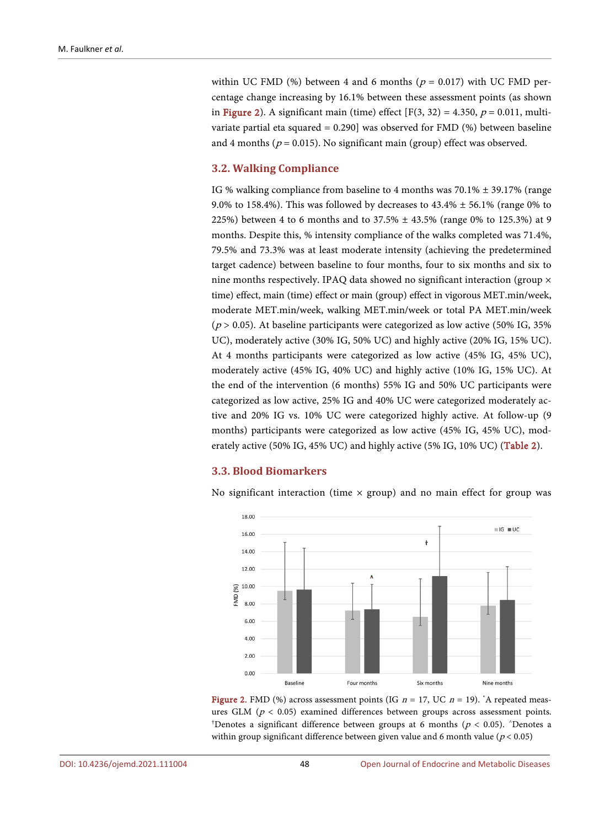within UC FMD (%) between 4 and 6 months ( $p = 0.017$ ) with UC FMD percentage change increasing by 16.1% between these assessment points (as shown i[n Figure 2\)](#page-5-0). A significant main (time) effect  $[F(3, 32) = 4.350, p = 0.011, \text{multi-}$ variate partial eta squared = 0.290] was observed for FMD (%) between baseline and 4 months ( $p = 0.015$ ). No significant main (group) effect was observed.

# **3.2. Walking Compliance**

IG % walking compliance from baseline to 4 months was  $70.1\% \pm 39.17\%$  (range 9.0% to 158.4%). This was followed by decreases to  $43.4\% \pm 56.1\%$  (range 0% to 225%) between 4 to 6 months and to 37.5%  $\pm$  43.5% (range 0% to 125.3%) at 9 months. Despite this, % intensity compliance of the walks completed was 71.4%, 79.5% and 73.3% was at least moderate intensity (achieving the predetermined target cadence) between baseline to four months, four to six months and six to nine months respectively. IPAQ data showed no significant interaction (group × time) effect, main (time) effect or main (group) effect in vigorous MET.min/week, moderate MET.min/week, walking MET.min/week or total PA MET.min/week  $(p > 0.05)$ . At baseline participants were categorized as low active (50% IG, 35%) UC), moderately active (30% IG, 50% UC) and highly active (20% IG, 15% UC). At 4 months participants were categorized as low active (45% IG, 45% UC), moderately active (45% IG, 40% UC) and highly active (10% IG, 15% UC). At the end of the intervention (6 months) 55% IG and 50% UC participants were categorized as low active, 25% IG and 40% UC were categorized moderately active and 20% IG vs. 10% UC were categorized highly active. At follow-up (9 months) participants were categorized as low active (45% IG, 45% UC), moderately active (50% IG, 45% UC) and highly active (5% IG, 10% UC) [\(Table 2\)](#page-6-0).

## **3.3. Blood Biomarkers**

<span id="page-5-0"></span>No significant interaction (time  $\times$  group) and no main effect for group was



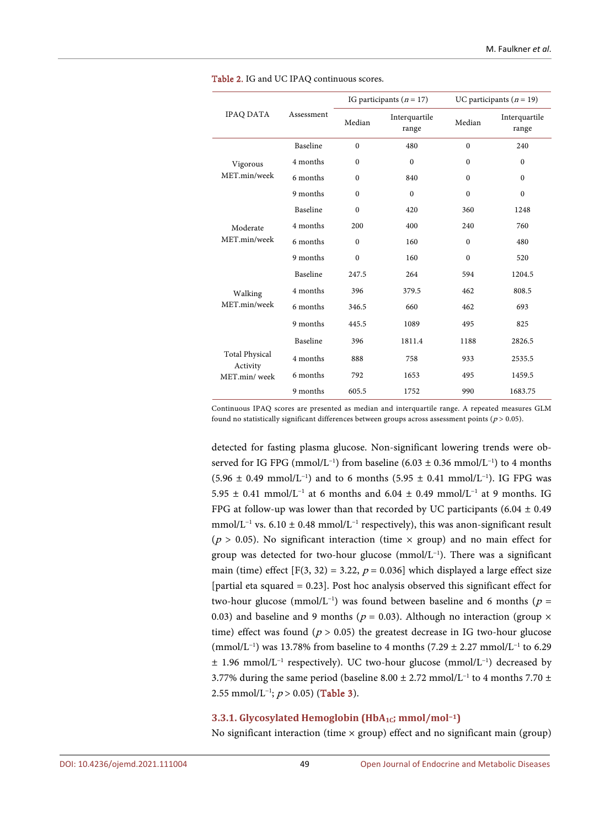<span id="page-6-0"></span>

|                                   |            |              | IG participants $(n = 17)$      |                                                       | UC participants ( $n = 19$ ) |  |  |  |  |
|-----------------------------------|------------|--------------|---------------------------------|-------------------------------------------------------|------------------------------|--|--|--|--|
| <b>IPAQ DATA</b>                  | Assessment | Median       | Interquartile<br>range          | Median                                                | Interquartile<br>range       |  |  |  |  |
|                                   | Baseline   | $\mathbf{0}$ | 480                             | $\mathbf{0}$                                          | 240                          |  |  |  |  |
| Vigorous                          | 4 months   | $\mathbf{0}$ | $\mathbf{0}$                    | $\mathbf{0}$                                          | $\mathbf{0}$                 |  |  |  |  |
| MET.min/week                      | 6 months   | $\Omega$     | 840                             | $\theta$                                              | $\Omega$                     |  |  |  |  |
|                                   | 9 months   | $\mathbf{0}$ | $\mathbf{0}$                    | $\mathbf{0}$                                          | $\mathbf{0}$                 |  |  |  |  |
|                                   | Baseline   | $\mathbf{0}$ | 420<br>400<br>160<br>160<br>264 | 360                                                   | 1248                         |  |  |  |  |
| Moderate                          | 4 months   | 200          |                                 | 240                                                   | 760                          |  |  |  |  |
| MET.min/week                      | 6 months   | $\Omega$     |                                 | $\theta$                                              | 480                          |  |  |  |  |
|                                   | 9 months   | $\theta$     |                                 | $\theta$                                              | 520                          |  |  |  |  |
|                                   | Baseline   | 247.5        |                                 | 594<br>462<br>462<br>495<br>1188<br>933<br>495<br>990 | 1204.5                       |  |  |  |  |
| Walking                           | 4 months   | 396          | 379.5                           |                                                       | 808.5                        |  |  |  |  |
| MET.min/week                      | 6 months   | 346.5        | 660                             |                                                       | 693                          |  |  |  |  |
|                                   | 9 months   | 445.5        | 1089                            |                                                       | 825                          |  |  |  |  |
|                                   | Baseline   | 396          | 1811.4                          |                                                       | 2826.5                       |  |  |  |  |
| <b>Total Physical</b><br>Activity | 4 months   | 888          | 758                             |                                                       | 2535.5                       |  |  |  |  |
| MET.min/week                      | 6 months   | 792          | 1653                            |                                                       | 1459.5                       |  |  |  |  |
|                                   | 9 months   | 605.5        | 1752                            |                                                       | 1683.75                      |  |  |  |  |

Table 2. IG and UC IPAQ continuous scores.

Continuous IPAQ scores are presented as median and interquartile range. A repeated measures GLM found no statistically significant differences between groups across assessment points ( $p > 0.05$ ).

detected for fasting plasma glucose. Non-significant lowering trends were observed for IG FPG (mmol/L<sup>-1</sup>) from baseline  $(6.03 \pm 0.36 \text{ mmol/L}^{-1})$  to 4 months  $(5.96 \pm 0.49 \text{ mmol/L}^{-1})$  and to 6 months  $(5.95 \pm 0.41 \text{ mmol/L}^{-1})$ . IG FPG was 5.95 ± 0.41 mmol/L<sup>-1</sup> at 6 months and 6.04 ± 0.49 mmol/L<sup>-1</sup> at 9 months. IG FPG at follow-up was lower than that recorded by UC participants (6.04  $\pm$  0.49 mmol/L<sup>-1</sup> vs. 6.10 ± 0.48 mmol/L<sup>-1</sup> respectively), this was anon-significant result ( $p > 0.05$ ). No significant interaction (time  $\times$  group) and no main effect for group was detected for two-hour glucose (mmol/L−1 ). There was a significant main (time) effect [F(3, 32) = 3.22,  $p = 0.036$ ] which displayed a large effect size [partial eta squared = 0.23]. Post hoc analysis observed this significant effect for two-hour glucose (mmol/L<sup>-1</sup>) was found between baseline and 6 months ( $p =$ 0.03) and baseline and 9 months ( $p = 0.03$ ). Although no interaction (group  $\times$ time) effect was found ( $p > 0.05$ ) the greatest decrease in IG two-hour glucose (mmol/L−1 ) was 13.78% from baseline to 4 months (7.29 ± 2.27 mmol/L−1 to 6.29 ± 1.96 mmol/L−1 respectively). UC two-hour glucose (mmol/L−1 ) decreased by 3.77% during the same period (baseline 8.00 ± 2.72 mmol/L<sup>-1</sup> to 4 months 7.70 ± 2.55 mmol/L<sup>-1</sup>;  $p > 0.05$ ) [\(Table 3\)](#page-7-0).

#### **3.3.1. Glycosylated Hemoglobin (HbA1C; mmol/mol−1)**

No significant interaction (time  $\times$  group) effect and no significant main (group)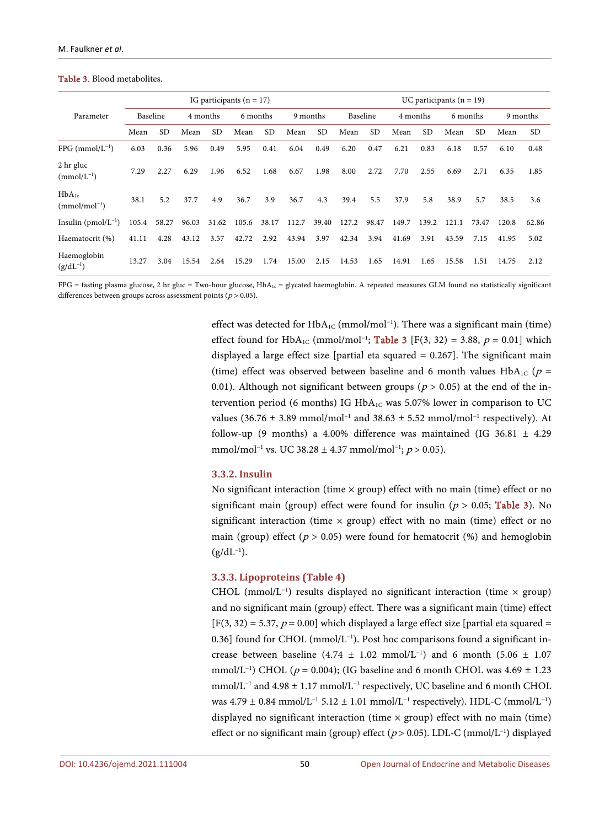#### <span id="page-7-0"></span>Table 3. Blood metabolites.

|                                 |          |       |          |       | IG participants $(n = 17)$ |           |          | UC participants $(n = 19)$ |          |           |          |       |          |       |       |           |
|---------------------------------|----------|-------|----------|-------|----------------------------|-----------|----------|----------------------------|----------|-----------|----------|-------|----------|-------|-------|-----------|
| Parameter                       | Baseline |       | 4 months |       | 6 months                   |           | 9 months |                            | Baseline |           | 4 months |       | 6 months |       |       | 9 months  |
|                                 | Mean     | SD.   | Mean     | SD.   | Mean                       | <b>SD</b> | Mean     | <b>SD</b>                  | Mean     | <b>SD</b> | Mean     | SD.   | Mean     | SD.   | Mean  | <b>SD</b> |
| $FPG$ (mmol/ $L^{-1}$ )         | 6.03     | 0.36  | 5.96     | 0.49  | 5.95                       | 0.41      | 6.04     | 0.49                       | 6.20     | 0.47      | 6.21     | 0.83  | 6.18     | 0.57  | 6.10  | 0.48      |
| 2 hr gluc<br>$(mmol/L^{-1})$    | 7.29     | 2.27  | 6.29     | 1.96  | 6.52                       | 1.68      | 6.67     | 1.98                       | 8.00     | 2.72      | 7.70     | 2.55  | 6.69     | 2.71  | 6.35  | 1.85      |
| $HbA_{1c}$<br>$(mmol/mol^{-1})$ | 38.1     | 5.2   | 37.7     | 4.9   | 36.7                       | 3.9       | 36.7     | 4.3                        | 39.4     | 5.5       | 37.9     | 5.8   | 38.9     | 5.7   | 38.5  | 3.6       |
| Insulin $(pmol/L^{-1})$         | 105.4    | 58.27 | 96.03    | 31.62 | 105.6                      | 38.17     | 112.7    | 39.40                      | 127.2    | 98.47     | 149.7    | 139.2 | 121.1    | 73.47 | 120.8 | 62.86     |
| Haematocrit (%)                 | 41.11    | 4.28  | 43.12    | 3.57  | 42.72                      | 2.92      | 43.94    | 3.97                       | 42.34    | 3.94      | 41.69    | 3.91  | 43.59    | 7.15  | 41.95 | 5.02      |
| Haemoglobin<br>$(g/dL^{-1})$    | 13.27    | 3.04  | 15.54    | 2.64  | 15.29                      | 1.74      | 15.00    | 2.15                       | 14.53    | 1.65      | 14.91    | 1.65  | 15.58    | 1.51  | 14.75 | 2.12      |

 $FPG =$  fasting plasma glucose, 2 hr gluc = Two-hour glucose,  $HbA_{1c} =$  glycated haemoglobin. A repeated measures GLM found no statistically significant differences between groups across assessment points ( $p > 0.05$ ).

> effect was detected for  $HbA_{1C}$  (mmol/mol<sup>-1</sup>). There was a significant main (time) effect found for HbA<sub>1C</sub> (mmol/mol<sup>-1</sup>; **[Table 3](#page-7-0)** [F(3, 32) = 3.88,  $p = 0.01$ ] which displayed a large effect size [partial eta squared  $= 0.267$ ]. The significant main (time) effect was observed between baseline and 6 month values  $HbA_{1C}$  ( $p =$ 0.01). Although not significant between groups ( $p > 0.05$ ) at the end of the intervention period (6 months) IG  $HbA_{1C}$  was 5.07% lower in comparison to UC values (36.76 ± 3.89 mmol/mol<sup>-1</sup> and 38.63 ± 5.52 mmol/mol<sup>-1</sup> respectively). At follow-up (9 months) a 4.00% difference was maintained (IG 36.81  $\pm$  4.29 mmol/mol<sup>-1</sup> vs. UC 38.28 ± 4.37 mmol/mol<sup>-1</sup>;  $p > 0.05$ ).

#### **3.3.2. Insulin**

No significant interaction (time  $\times$  group) effect with no main (time) effect or no significant main (group) effect were found for insulin ( $p > 0.05$ ; [Table 3\)](#page-7-0). No significant interaction (time  $\times$  group) effect with no main (time) effect or no main (group) effect ( $p > 0.05$ ) were found for hematocrit (%) and hemoglobin  $(g/dL^{-1}).$ 

## **3.3.3. Lipoproteins [\(Table 4\)](#page-8-0)**

CHOL (mmol/L−1 ) results displayed no significant interaction (time × group) and no significant main (group) effect. There was a significant main (time) effect  $[F(3, 32) = 5.37, p = 0.00]$  which displayed a large effect size [partial eta squared = 0.36] found for CHOL (mmol/L−1 ). Post hoc comparisons found a significant increase between baseline  $(4.74 \pm 1.02 \text{ mmol/L}^{-1})$  and 6 month  $(5.06 \pm 1.07 \text{ m})$ mmol/L<sup>-1</sup>) CHOL ( $p = 0.004$ ); (IG baseline and 6 month CHOL was  $4.69 \pm 1.23$ mmol/L−1 and 4.98 ± 1.17 mmol/L−1 respectively, UC baseline and 6 month CHOL was 4.79 ± 0.84 mmol/L<sup>-1</sup> 5.12 ± 1.01 mmol/L<sup>-1</sup> respectively). HDL-C (mmol/L<sup>-1</sup>) displayed no significant interaction (time  $\times$  group) effect with no main (time) effect or no significant main (group) effect ( $p > 0.05$ ). LDL-C (mmol/L<sup>-1</sup>) displayed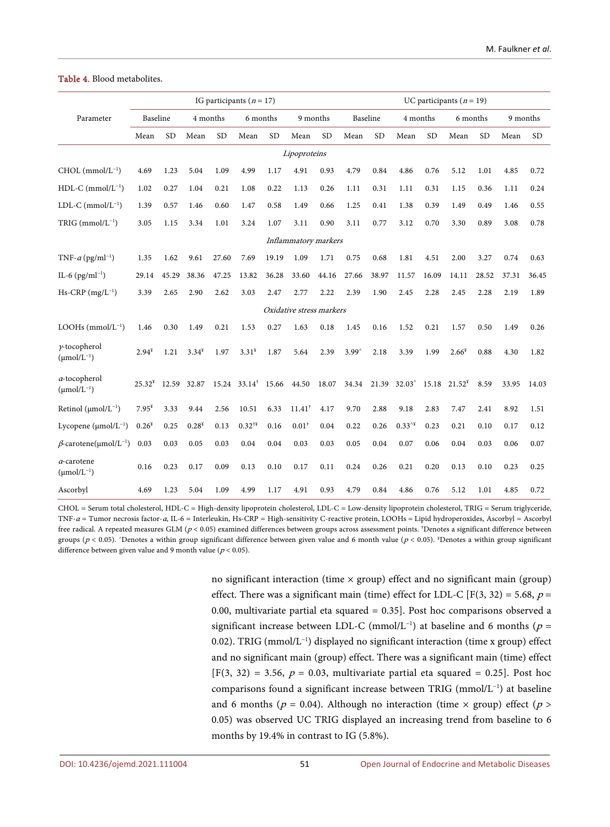|                                           |          |           |          |       | IG participants $(n = 17)$     |           |                          |           |                |           |                 |           | UC participants ( $n = 19$ ) |           |          |           |
|-------------------------------------------|----------|-----------|----------|-------|--------------------------------|-----------|--------------------------|-----------|----------------|-----------|-----------------|-----------|------------------------------|-----------|----------|-----------|
| Parameter                                 | Baseline |           | 4 months |       | 6 months                       |           | 9 months                 |           | Baseline       |           | 4 months        |           | 6 months                     |           | 9 months |           |
|                                           | Mean     | <b>SD</b> | Mean     | SD    | Mean                           | <b>SD</b> | Mean                     | <b>SD</b> | Mean           | <b>SD</b> | Mean            | <b>SD</b> | Mean                         | <b>SD</b> | Mean     | <b>SD</b> |
|                                           |          |           |          |       |                                |           | Lipoproteins             |           |                |           |                 |           |                              |           |          |           |
| $CHOL$ (mmol/ $L^{-1}$ )                  | 4.69     | 1.23      | 5.04     | 1.09  | 4.99                           | 1.17      | 4.91                     | 0.93      | 4.79           | 0.84      | 4.86            | 0.76      | 5.12                         | 1.01      | 4.85     | 0.72      |
| $HDL-C$ (mmol/ $L^{-1}$ )                 | 1.02     | 0.27      | 1.04     | 0.21  | 1.08                           | 0.22      | 1.13                     | 0.26      | 1.11           | 0.31      | 1.11            | 0.31      | 1.15                         | 0.36      | 1.11     | 0.24      |
| LDL-C $(mmol/L^{-1})$                     | 1.39     | 0.57      | 1.46     | 0.60  | 1.47                           | 0.58      | 1.49                     | 0.66      | 1.25           | 0.41      | 1.38            | 0.39      | 1.49                         | 0.49      | 1.46     | 0.55      |
| $TRIG (mmol/L^{-1})$                      | 3.05     | 1.15      | 3.34     | 1.01  | 3.24                           | 1.07      | 3.11                     | 0.90      | 3.11           | 0.77      | 3.12            | 0.70      | 3.30                         | 0.89      | 3.08     | 0.78      |
|                                           |          |           |          |       |                                |           | Inflammatory markers     |           |                |           |                 |           |                              |           |          |           |
| TNF- $\alpha$ (pg/ml <sup>-1</sup> )      | 1.35     | 1.62      | 9.61     | 27.60 | 7.69                           | 19.19     | 1.09                     | 1.71      | 0.75           | 0.68      | 1.81            | 4.51      | 2.00                         | 3.27      | 0.74     | 0.63      |
| IL-6 $(pg/ml^{-1})$                       | 29.14    | 45.29     | 38.36    | 47.25 | 13.82                          | 36.28     | 33.60                    | 44.16     | 27.66          | 38.97     | 11.57           | 16.09     | 14.11                        | 28.52     | 37.31    | 36.45     |
| $Hs-CRP$ (mg/L <sup>-1</sup> )            | 3.39     | 2.65      | 2.90     | 2.62  | 3.03                           | 2.47      | 2.77                     | 2.22      | 2.39           | 1.90      | 2.45            | 2.28      | 2.45                         | 2.28      | 2.19     | 1.89      |
|                                           |          |           |          |       |                                |           | Oxidative stress markers |           |                |           |                 |           |                              |           |          |           |
| $LOOHs$ (mmol/ $L^{-1}$ )                 | 1.46     | 0.30      | 1.49     | 0.21  | 1.53                           | 0.27      | 1.63                     | 0.18      | 1.45           | 0.16      | 1.52            | 0.21      | 1.57                         | 0.50      | 1.49     | 0.26      |
| $y$ -tocopherol<br>$(\mu mol/L^{-1})$     | $2.94*$  | 1.21      | $3.34*$  | 1.97  | $3.31^*$                       | 1.87      | 5.64                     | 2.39      | $3.99^{\circ}$ | 2.18      | 3.39            | 1.99      | $2.66*$                      | 0.88      | 4.30     | 1.82      |
| a-tocopherol<br>$(\mu \text{mol/L}^{-1})$ | $25.32*$ | 12.59     | 32.87    |       | $15.24$ $33.14^{\dagger}$      | 15.66     | 44.50                    | 18.07     | 34.34          | 21.39     | $32.03^{\circ}$ | 15.18     | $21.52^*$                    | 8.59      | 33.95    | 14.03     |
| Retinol $(\mu mol/L^{-1})$                | $7.95*$  | 3.33      | 9.44     | 2.56  | 10.51                          | 6.33      | $11.41^+$                | 4.17      | 9.70           | 2.88      | 9.18            | 2.83      | 7.47                         | 2.41      | 8.92     | 1.51      |
| Lycopene $(\mu mol/L^{-1})$               | $0.26*$  | 0.25      | $0.28*$  | 0.13  | $0.32^{\dagger\check{\imath}}$ | 0.16      | $0.01^*$                 | 0.04      | 0.22           | 0.26      | $0.33^{4}$      | 0.23      | 0.21                         | 0.10      | 0.17     | 0.12      |
| $\beta$ -carotene(µmol/L <sup>-1</sup> )  | 0.03     | 0.03      | 0.05     | 0.03  | 0.04                           | 0.04      | 0.03                     | 0.03      | 0.05           | 0.04      | 0.07            | 0.06      | 0.04                         | 0.03      | 0.06     | 0.07      |
| a-carotene<br>$(\mu \text{mol/L}^{-1})$   | 0.16     | 0.23      | 0.17     | 0.09  | 0.13                           | 0.10      | 0.17                     | 0.11      | 0.24           | 0.26      | 0.21            | 0.20      | 0.13                         | 0.10      | 0.23     | 0.25      |
| Ascorbyl                                  | 4.69     | 1.23      | 5.04     | 1.09  | 4.99                           | 1.17      | 4.91                     | 0.93      | 4.79           | 0.84      | 4.86            | 0.76      | 5.12                         | 1.01      | 4.85     | 0.72      |

#### <span id="page-8-0"></span>Table 4. Blood metabolites.

CHOL = Serum total cholesterol, HDL-C = High-density lipoprotein cholesterol, LDL-C = Low-density lipoprotein cholesterol, TRIG = Serum triglyceride, TNF-<sup>α</sup> = Tumor necrosis factor-α, IL-6 = Interleukin, Hs-CRP = High-sensitivity C-reactive protein, LOOHs = Lipid hydroperoxides, Ascorbyl = Ascorbyl free radical. A repeated measures GLM ( $p$  < 0.05) examined differences between groups across assessment points. †Denotes a significant difference between groups ( $p < 0.05$ ). ^Denotes a within group significant difference between given value and 6 month value ( $p < 0.05$ ). \*Denotes a within group significant difference between given value and 9 month value ( $p < 0.05$ ).

> no significant interaction (time  $\times$  group) effect and no significant main (group) effect. There was a significant main (time) effect for LDL-C [F(3, 32) = 5.68,  $p =$ 0.00, multivariate partial eta squared = 0.35]. Post hoc comparisons observed a significant increase between LDL-C (mmol/L<sup>-1</sup>) at baseline and 6 months ( $p =$ 0.02). TRIG (mmol/L−1 ) displayed no significant interaction (time x group) effect and no significant main (group) effect. There was a significant main (time) effect  $[F(3, 32) = 3.56, p = 0.03,$  multivariate partial eta squared = 0.25]. Post hoc comparisons found a significant increase between TRIG (mmol/L−1 ) at baseline and 6 months ( $p = 0.04$ ). Although no interaction (time  $\times$  group) effect ( $p >$ 0.05) was observed UC TRIG displayed an increasing trend from baseline to 6 months by 19.4% in contrast to IG (5.8%).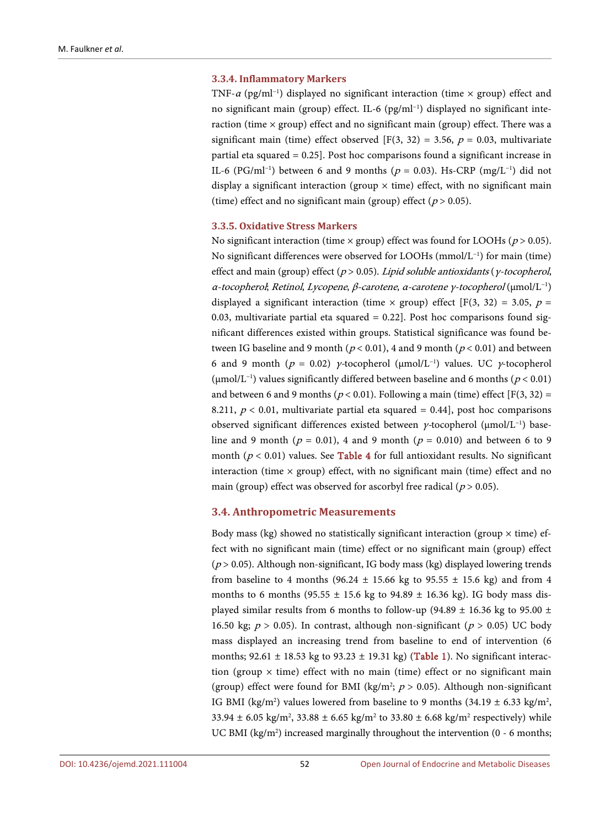#### **3.3.4. Inflammatory Markers**

TNF- $\alpha$  (pg/ml<sup>-1</sup>) displayed no significant interaction (time × group) effect and no significant main (group) effect. IL-6 (pg/ml<sup>-1</sup>) displayed no significant interaction (time  $\times$  group) effect and no significant main (group) effect. There was a significant main (time) effect observed [F(3, 32) = 3.56,  $p = 0.03$ , multivariate partial eta squared = 0.25]. Post hoc comparisons found a significant increase in IL-6 (PG/ml<sup>-1</sup>) between 6 and 9 months ( $p = 0.03$ ). Hs-CRP (mg/L<sup>-1</sup>) did not display a significant interaction (group  $\times$  time) effect, with no significant main (time) effect and no significant main (group) effect ( $p > 0.05$ ).

#### **3.3.5. Oxidative Stress Markers**

No significant interaction (time  $\times$  group) effect was found for LOOHs ( $p > 0.05$ ). No significant differences were observed for LOOHs (mmol/L−1 ) for main (time) effect and main (group) effect ( $p > 0.05$ ). Lipid soluble antioxidants (y-tocopherol, α-tocopherol; Retinol, Lycopene, β-carotene, α-carotene γ-tocopherol (μmol/L−1 ) displayed a significant interaction (time  $\times$  group) effect [F(3, 32) = 3.05, p = 0.03, multivariate partial eta squared  $= 0.22$ ]. Post hoc comparisons found significant differences existed within groups. Statistical significance was found between IG baseline and 9 month ( $p < 0.01$ ), 4 and 9 month ( $p < 0.01$ ) and between 6 and 9 month ( $p = 0.02$ )  $\gamma$ -tocopherol (µmol/L<sup>-1</sup>) values. UC  $\gamma$ -tocopherol (μmol/L<sup>-1</sup>) values significantly differed between baseline and 6 months ( $p < 0.01$ ) and between 6 and 9 months ( $p < 0.01$ ). Following a main (time) effect [F(3, 32) = 8.211,  $p < 0.01$ , multivariate partial eta squared = 0.44, post hoc comparisons observed significant differences existed between γ-tocopherol (μmol/L−1 ) baseline and 9 month ( $p = 0.01$ ), 4 and 9 month ( $p = 0.010$ ) and between 6 to 9 month ( $p < 0.01$ ) values. See [Table 4](#page-8-0) for full antioxidant results. No significant interaction (time  $\times$  group) effect, with no significant main (time) effect and no main (group) effect was observed for ascorbyl free radical ( $p > 0.05$ ).

#### **3.4. Anthropometric Measurements**

Body mass (kg) showed no statistically significant interaction (group  $\times$  time) effect with no significant main (time) effect or no significant main (group) effect ( $p > 0.05$ ). Although non-significant, IG body mass (kg) displayed lowering trends from baseline to 4 months (96.24  $\pm$  15.66 kg to 95.55  $\pm$  15.6 kg) and from 4 months to 6 months (95.55  $\pm$  15.6 kg to 94.89  $\pm$  16.36 kg). IG body mass displayed similar results from 6 months to follow-up (94.89  $\pm$  16.36 kg to 95.00  $\pm$ 16.50 kg;  $p > 0.05$ ). In contrast, although non-significant ( $p > 0.05$ ) UC body mass displayed an increasing trend from baseline to end of intervention (6 months;  $92.61 \pm 18.53$  kg to  $93.23 \pm 19.31$  kg) [\(Table 1\)](#page-4-0). No significant interaction (group  $\times$  time) effect with no main (time) effect or no significant main (group) effect were found for BMI (kg/m<sup>2</sup>;  $p > 0.05$ ). Although non-significant IG BMI (kg/m<sup>2</sup>) values lowered from baseline to 9 months (34.19  $\pm$  6.33 kg/m<sup>2</sup>, 33.94  $\pm$  6.05 kg/m<sup>2</sup>, 33.88  $\pm$  6.65 kg/m<sup>2</sup> to 33.80  $\pm$  6.68 kg/m<sup>2</sup> respectively) while UC BMI ( $kg/m<sup>2</sup>$ ) increased marginally throughout the intervention (0 - 6 months;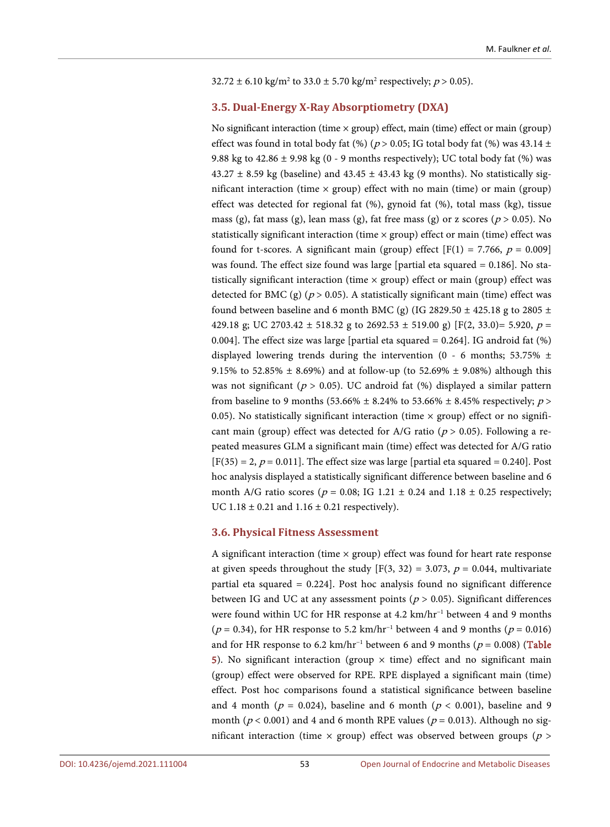#### $32.72 \pm 6.10 \text{ kg/m}^2$  to  $33.0 \pm 5.70 \text{ kg/m}^2$  respectively;  $p > 0.05$ ).

# **3.5. Dual-Energy X-Ray Absorptiometry (DXA)**

No significant interaction (time  $\times$  group) effect, main (time) effect or main (group) effect was found in total body fat (%) ( $p > 0.05$ ; IG total body fat (%) was 43.14 ± 9.88 kg to  $42.86 \pm 9.98$  kg (0 - 9 months respectively); UC total body fat (%) was  $43.27 \pm 8.59$  kg (baseline) and  $43.45 \pm 43.43$  kg (9 months). No statistically significant interaction (time  $\times$  group) effect with no main (time) or main (group) effect was detected for regional fat (%), gynoid fat (%), total mass (kg), tissue mass (g), fat mass (g), lean mass (g), fat free mass (g) or z scores ( $p > 0.05$ ). No statistically significant interaction (time  $\times$  group) effect or main (time) effect was found for t-scores. A significant main (group) effect  $[F(1) = 7.766, p = 0.009]$ was found. The effect size found was large [partial eta squared = 0.186]. No statistically significant interaction (time  $\times$  group) effect or main (group) effect was detected for BMC (g) ( $p > 0.05$ ). A statistically significant main (time) effect was found between baseline and 6 month BMC (g) (IG 2829.50  $\pm$  425.18 g to 2805  $\pm$ 429.18 g; UC 2703.42  $\pm$  518.32 g to 2692.53  $\pm$  519.00 g) [F(2, 33.0)= 5.920, p = 0.004]. The effect size was large [partial eta squared = 0.264]. IG android fat (%) displayed lowering trends during the intervention (0 - 6 months; 53.75%  $\pm$ 9.15% to 52.85%  $\pm$  8.69%) and at follow-up (to 52.69%  $\pm$  9.08%) although this was not significant ( $p > 0.05$ ). UC android fat (%) displayed a similar pattern from baseline to 9 months (53.66%  $\pm$  8.24% to 53.66%  $\pm$  8.45% respectively; p > 0.05). No statistically significant interaction (time  $\times$  group) effect or no significant main (group) effect was detected for A/G ratio ( $p > 0.05$ ). Following a repeated measures GLM a significant main (time) effect was detected for A/G ratio  $[F(35) = 2, p = 0.011]$ . The effect size was large [partial eta squared = 0.240]. Post hoc analysis displayed a statistically significant difference between baseline and 6 month A/G ratio scores ( $p = 0.08$ ; IG 1.21  $\pm$  0.24 and 1.18  $\pm$  0.25 respectively; UC  $1.18 \pm 0.21$  and  $1.16 \pm 0.21$  respectively).

#### **3.6. Physical Fitness Assessment**

A significant interaction (time  $\times$  group) effect was found for heart rate response at given speeds throughout the study  $[F(3, 32) = 3.073, p = 0.044,$  multivariate partial eta squared = 0.224]. Post hoc analysis found no significant difference between IG and UC at any assessment points ( $p > 0.05$ ). Significant differences were found within UC for HR response at 4.2 km/hr<sup>-1</sup> between 4 and 9 months ( $p = 0.34$ ), for HR response to 5.2 km/hr<sup>-1</sup> between 4 and 9 months ( $p = 0.016$ ) and for HR response to 6.2 km/hr<sup>-1</sup> between 6 and 9 months ( $p = 0.008$ ) (Table [5\)](#page-11-0). No significant interaction (group  $\times$  time) effect and no significant main (group) effect were observed for RPE. RPE displayed a significant main (time) effect. Post hoc comparisons found a statistical significance between baseline and 4 month ( $p = 0.024$ ), baseline and 6 month ( $p < 0.001$ ), baseline and 9 month ( $p < 0.001$ ) and 4 and 6 month RPE values ( $p = 0.013$ ). Although no significant interaction (time  $\times$  group) effect was observed between groups ( $p >$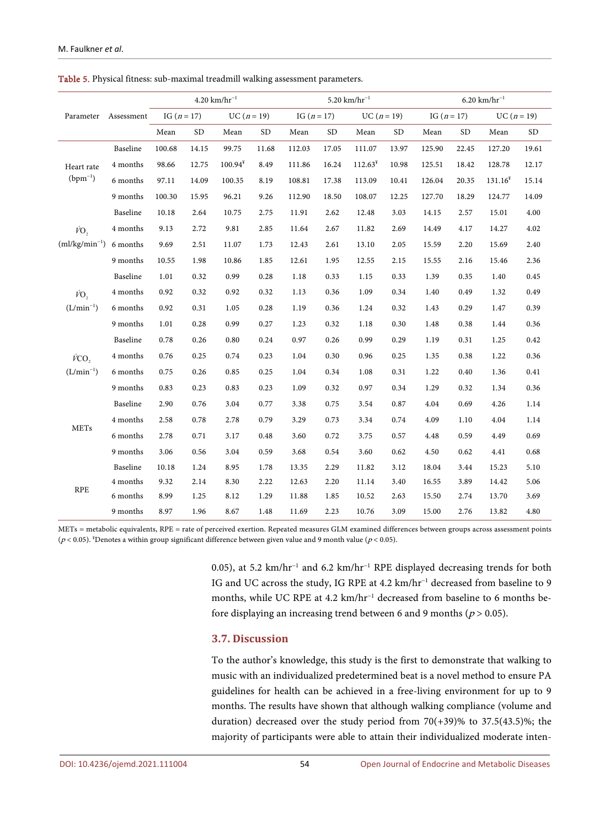|                             |            |               |                | 4.20 km/hr <sup>-1</sup> |           |               |           | $5.20 \text{ km/hr}^{-1}$ |           | $6.20 \text{ km/hr}^{-1}$ |           |               |           |  |  |
|-----------------------------|------------|---------------|----------------|--------------------------|-----------|---------------|-----------|---------------------------|-----------|---------------------------|-----------|---------------|-----------|--|--|
| Parameter                   | Assessment | IG $(n = 17)$ |                | $UC (n = 19)$            |           | IG $(n = 17)$ |           | $UC (n = 19)$             |           | IG $(n = 17)$             |           | $UC (n = 19)$ |           |  |  |
|                             |            | Mean          | SD <sub></sub> | Mean                     | <b>SD</b> | Mean          | <b>SD</b> | Mean                      | <b>SD</b> | Mean                      | <b>SD</b> | Mean          | <b>SD</b> |  |  |
|                             | Baseline   | 100.68        | 14.15          | 99.75                    | 11.68     | 112.03        | 17.05     | 111.07                    | 13.97     | 125.90                    | 22.45     | 127.20        | 19.61     |  |  |
| Heart rate<br>$(bpm^{-1})$  | 4 months   | 98.66         | 12.75          | $100.94*$                | 8.49      | 111.86        | 16.24     | $112.63^*$                | 10.98     | 125.51                    | 18.42     | 128.78        | 12.17     |  |  |
|                             | 6 months   | 97.11         | 14.09          | 100.35                   | 8.19      | 108.81        | 17.38     | 113.09                    | 10.41     | 126.04                    | 20.35     | $131.16*$     | 15.14     |  |  |
|                             | 9 months   | 100.30        | 15.95          | 96.21                    | 9.26      | 112.90        | 18.50     | 108.07                    | 12.25     | 127.70                    | 18.29     | 124.77        | 14.09     |  |  |
|                             | Baseline   | 10.18         | 2.64           | 10.75                    | 2.75      | 11.91         | 2.62      | 12.48                     | 3.03      | 14.15                     | 2.57      | 15.01         | 4.00      |  |  |
| VO,                         | 4 months   | 9.13          | 2.72           | 9.81                     | 2.85      | 11.64         | 2.67      | 11.82                     | 2.69      | 14.49                     | 4.17      | 14.27         | 4.02      |  |  |
| $(ml/kg/min^{-1})$          | 6 months   | 9.69          | 2.51           | 11.07                    | 1.73      | 12.43         | 2.61      | 13.10                     | 2.05      | 15.59                     | 2.20      | 15.69         | 2.40      |  |  |
|                             | 9 months   | 10.55         | 1.98           | 10.86                    | 1.85      | 12.61         | 1.95      | 12.55                     | 2.15      | 15.55                     | 2.16      | 15.46         | 2.36      |  |  |
|                             | Baseline   | 1.01          | 0.32           | 0.99                     | 0.28      | 1.18          | 0.33      | 1.15                      | 0.33      | 1.39                      | 0.35      | 1.40          | 0.45      |  |  |
| VO,                         | 4 months   | 0.92          | 0.32           | 0.92                     | 0.32      | 1.13          | 0.36      | 1.09                      | 0.34      | 1.40                      | 0.49      | 1.32          | 0.49      |  |  |
| $(L/min^{-1})$              | 6 months   | 0.92          | 0.31           | 1.05                     | 0.28      | 1.19          | 0.36      | 1.24                      | 0.32      | 1.43                      | 0.29      | 1.47          | 0.39      |  |  |
|                             | 9 months   | 1.01          | 0.28           | 0.99                     | 0.27      | 1.23          | 0.32      | 1.18                      | 0.30      | 1.48                      | 0.38      | 1.44          | 0.36      |  |  |
|                             | Baseline   | 0.78          | 0.26           | 0.80                     | 0.24      | 0.97          | 0.26      | 0.99                      | 0.29      | 1.19                      | 0.31      | 1.25          | 0.42      |  |  |
| VCO.                        | 4 months   | 0.76          | 0.25           | 0.74                     | 0.23      | 1.04          | 0.30      | 0.96                      | 0.25      | 1.35                      | 0.38      | 1.22          | 0.36      |  |  |
| $(L/min^{-1})$              | 6 months   | 0.75          | 0.26           | 0.85                     | 0.25      | 1.04          | 0.34      | 1.08                      | 0.31      | 1.22                      | 0.40      | 1.36          | 0.41      |  |  |
|                             | 9 months   | 0.83          | 0.23           | 0.83                     | 0.23      | 1.09          | 0.32      | 0.97                      | 0.34      | 1.29                      | 0.32      | 1.34          | 0.36      |  |  |
|                             | Baseline   | 2.90          | 0.76           | 3.04                     | 0.77      | 3.38          | 0.75      | 3.54                      | 0.87      | 4.04                      | 0.69      | 4.26          | 1.14      |  |  |
|                             | 4 months   | 2.58          | 0.78           | 2.78                     | 0.79      | 3.29          | 0.73      | 3.34                      | 0.74      | 4.09                      | 1.10      | 4.04          | 1.14      |  |  |
| <b>METs</b>                 | 6 months   | 2.78          | 0.71           | 3.17                     | 0.48      | 3.60          | 0.72      | 3.75                      | 0.57      | 4.48                      | 0.59      | 4.49          | 0.69      |  |  |
|                             | 9 months   | 3.06          | 0.56           | 3.04                     | 0.59      | 3.68          | 0.54      | 3.60                      | 0.62      | 4.50                      | 0.62      | 4.41          | 0.68      |  |  |
|                             | Baseline   | 10.18         | 1.24           | 8.95                     | 1.78      | 13.35         | 2.29      | 11.82                     | 3.12      | 18.04                     | 3.44      | 15.23         | 5.10      |  |  |
| $\ensuremath{\mathsf{RPE}}$ | 4 months   | 9.32          | 2.14           | 8.30                     | 2.22      | 12.63         | 2.20      | 11.14                     | 3.40      | 16.55                     | 3.89      | 14.42         | 5.06      |  |  |
|                             | 6 months   | 8.99          | 1.25           | 8.12                     | 1.29      | 11.88         | 1.85      | 10.52                     | 2.63      | 15.50                     | 2.74      | 13.70         | 3.69      |  |  |
|                             | 9 months   | 8.97          | 1.96           | 8.67                     | 1.48      | 11.69         | 2.23      | 10.76                     | 3.09      | 15.00                     | 2.76      | 13.82         | 4.80      |  |  |

<span id="page-11-0"></span>Table 5. Physical fitness: sub-maximal treadmill walking assessment parameters.

METs = metabolic equivalents, RPE = rate of perceived exertion. Repeated measures GLM examined differences between groups across assessment points ( $p$  < 0.05). <sup>\*</sup>Denotes a within group significant difference between given value and 9 month value ( $p$  < 0.05).

> 0.05), at 5.2 km/hr<sup>-1</sup> and 6.2 km/hr<sup>-1</sup> RPE displayed decreasing trends for both IG and UC across the study, IG RPE at 4.2 km/hr<sup>-1</sup> decreased from baseline to 9 months, while UC RPE at 4.2 km/hr<sup>-1</sup> decreased from baseline to 6 months before displaying an increasing trend between 6 and 9 months ( $p > 0.05$ ).

## **3.7. Discussion**

To the author's knowledge, this study is the first to demonstrate that walking to music with an individualized predetermined beat is a novel method to ensure PA guidelines for health can be achieved in a free-living environment for up to 9 months. The results have shown that although walking compliance (volume and duration) decreased over the study period from  $70(+39)$ % to  $37.5(43.5)$ %; the majority of participants were able to attain their individualized moderate inten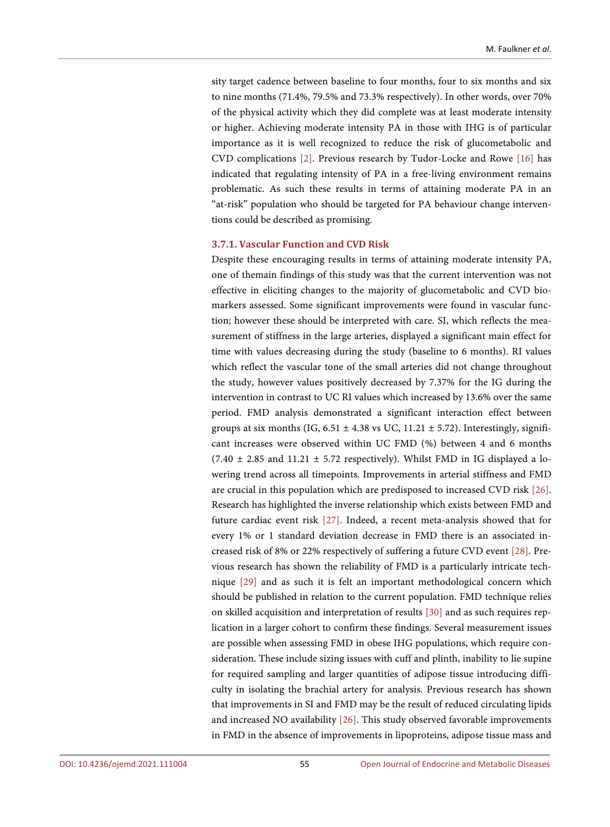sity target cadence between baseline to four months, four to six months and six to nine months (71.4%, 79.5% and 73.3% respectively). In other words, over 70% of the physical activity which they did complete was at least moderate intensity or higher. Achieving moderate intensity PA in those with IHG is of particular importance as it is well recognized to reduce the risk of glucometabolic and CVD complications [\[2\].](#page-15-1) Previous research by Tudor-Locke and Rowe [\[16\]](#page-16-8) has indicated that regulating intensity of PA in a free-living environment remains problematic. As such these results in terms of attaining moderate PA in an "at-risk" population who should be targeted for PA behaviour change interventions could be described as promising.

## **3.7.1. Vascular Function and CVD Risk**

Despite these encouraging results in terms of attaining moderate intensity PA, one of themain findings of this study was that the current intervention was not effective in eliciting changes to the majority of glucometabolic and CVD biomarkers assessed. Some significant improvements were found in vascular function; however these should be interpreted with care. SI, which reflects the measurement of stiffness in the large arteries, displayed a significant main effect for time with values decreasing during the study (baseline to 6 months). RI values which reflect the vascular tone of the small arteries did not change throughout the study, however values positively decreased by 7.37% for the IG during the intervention in contrast to UC RI values which increased by 13.6% over the same period. FMD analysis demonstrated a significant interaction effect between groups at six months (IG,  $6.51 \pm 4.38$  vs UC,  $11.21 \pm 5.72$ ). Interestingly, significant increases were observed within UC FMD (%) between 4 and 6 months  $(7.40 \pm 2.85$  and  $11.21 \pm 5.72$  respectively). Whilst FMD in IG displayed a lowering trend across all timepoints. Improvements in arterial stiffness and FMD are crucial in this population which are predisposed to increased CVD risk [\[26\].](#page-17-4)  Research has highlighted the inverse relationship which exists between FMD and future cardiac event risk [\[27\].](#page-17-5) Indeed, a recent meta-analysis showed that for every 1% or 1 standard deviation decrease in FMD there is an associated increased risk of 8% or 22% respectively of suffering a future CVD event [\[28\].](#page-17-6) Previous research has shown the reliability of FMD is a particularly intricate technique [\[29\]](#page-17-7) and as such it is felt an important methodological concern which should be published in relation to the current population. FMD technique relies on skilled acquisition and interpretation of results [\[30\]](#page-17-8) and as such requires replication in a larger cohort to confirm these findings. Several measurement issues are possible when assessing FMD in obese IHG populations, which require consideration. These include sizing issues with cuff and plinth, inability to lie supine for required sampling and larger quantities of adipose tissue introducing difficulty in isolating the brachial artery for analysis. Previous research has shown that improvements in SI and FMD may be the result of reduced circulating lipids and increased NO availability [\[26\].](#page-17-4) This study observed favorable improvements in FMD in the absence of improvements in lipoproteins, adipose tissue mass and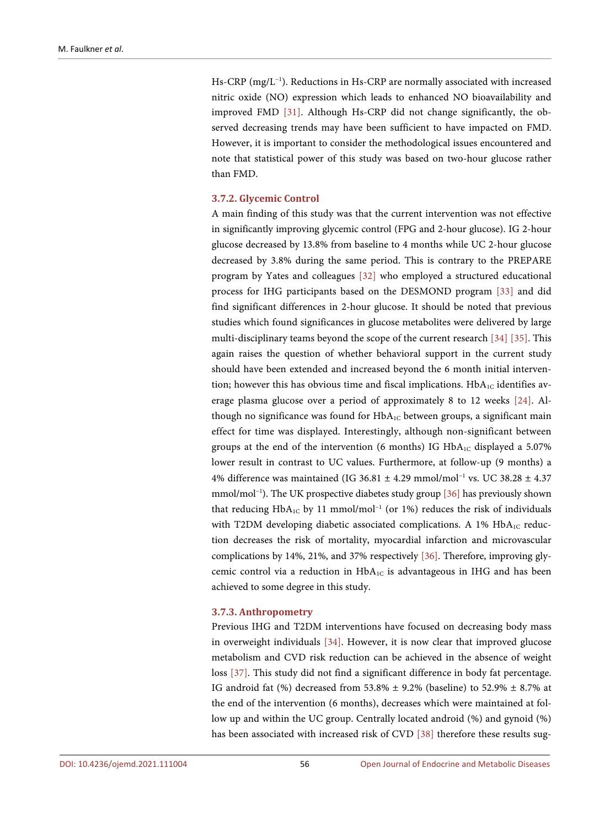Hs-CRP (mg/L−1 ). Reductions in Hs-CRP are normally associated with increased nitric oxide (NO) expression which leads to enhanced NO bioavailability and improved FMD [\[31\].](#page-17-9) Although Hs-CRP did not change significantly, the observed decreasing trends may have been sufficient to have impacted on FMD. However, it is important to consider the methodological issues encountered and note that statistical power of this study was based on two-hour glucose rather than FMD.

## **3.7.2. Glycemic Control**

A main finding of this study was that the current intervention was not effective in significantly improving glycemic control (FPG and 2-hour glucose). IG 2-hour glucose decreased by 13.8% from baseline to 4 months while UC 2-hour glucose decreased by 3.8% during the same period. This is contrary to the PREPARE program by Yates and colleagues [\[32\]](#page-17-10) who employed a structured educational process for IHG participants based on the DESMOND program [\[33\]](#page-17-11) and did find significant differences in 2-hour glucose. It should be noted that previous studies which found significances in glucose metabolites were delivered by large multi-disciplinary teams beyond the scope of the current research [\[34\]](#page-18-0) [\[35\].](#page-18-1) This again raises the question of whether behavioral support in the current study should have been extended and increased beyond the 6 month initial intervention; however this has obvious time and fiscal implications.  $HbA_{1C}$  identifies average plasma glucose over a period of approximately 8 to 12 weeks [\[24\].](#page-17-2) Although no significance was found for  $HbA_{1C}$  between groups, a significant main effect for time was displayed. Interestingly, although non-significant between groups at the end of the intervention (6 months) IG  $HbA_{1C}$  displayed a 5.07% lower result in contrast to UC values. Furthermore, at follow-up (9 months) a 4% difference was maintained (IG 36.81 ± 4.29 mmol/mol−1 vs. UC 38.28 ± 4.37 mmol/mol−1 ). The UK prospective diabetes study group [\[36\]](#page-18-2) has previously shown that reducing HbA<sub>1C</sub> by 11 mmol/mol<sup>-1</sup> (or 1%) reduces the risk of individuals with T2DM developing diabetic associated complications. A 1%  $HbA_{1C}$  reduction decreases the risk of mortality, myocardial infarction and microvascular complications by 14%, 21%, and 37% respectively [\[36\].](#page-18-2) Therefore, improving glycemic control via a reduction in HbA1C is advantageous in IHG and has been achieved to some degree in this study.

#### **3.7.3. Anthropometry**

Previous IHG and T2DM interventions have focused on decreasing body mass in overweight individuals [\[34\].](#page-18-0) However, it is now clear that improved glucose metabolism and CVD risk reduction can be achieved in the absence of weight loss [\[37\].](#page-18-3) This study did not find a significant difference in body fat percentage. IG android fat (%) decreased from 53.8%  $\pm$  9.2% (baseline) to 52.9%  $\pm$  8.7% at the end of the intervention (6 months), decreases which were maintained at follow up and within the UC group. Centrally located android (%) and gynoid (%) has been associated with increased risk of CVD [\[38\]](#page-18-4) therefore these results sug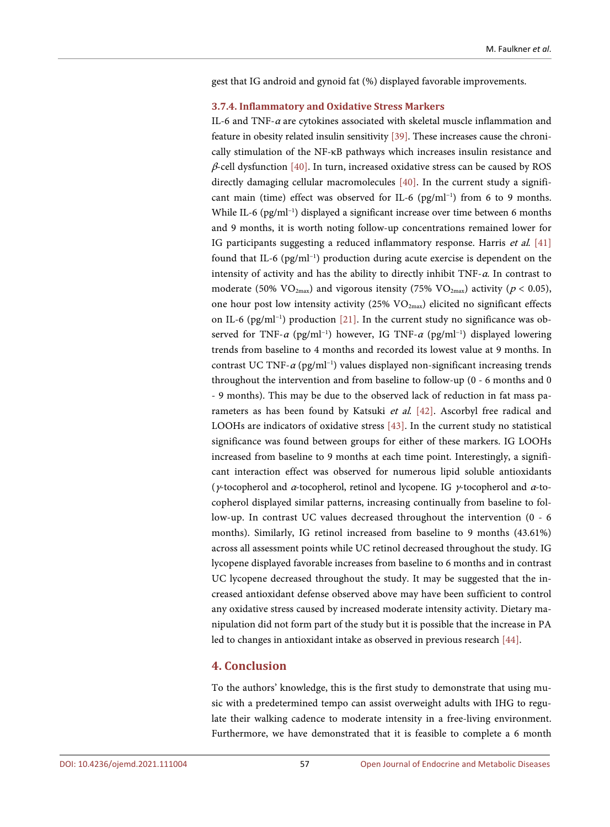gest that IG android and gynoid fat (%) displayed favorable improvements.

### **3.7.4. Inflammatory and Oxidative Stress Markers**

IL-6 and TNF- $\alpha$  are cytokines associated with skeletal muscle inflammation and feature in obesity related insulin sensitivity [\[39\].](#page-18-5) These increases cause the chronically stimulation of the NF-κB pathways which increases insulin resistance and  $\beta$ -cell dysfunction [\[40\].](#page-18-6) In turn, increased oxidative stress can be caused by ROS directly damaging cellular macromolecules [\[40\].](#page-18-6) In the current study a significant main (time) effect was observed for IL-6 (pg/ml<sup>-1</sup>) from 6 to 9 months. While IL-6 (pg/ml<sup>-1</sup>) displayed a significant increase over time between 6 months and 9 months, it is worth noting follow-up concentrations remained lower for IG participants suggesting a reduced inflammatory response. Harris et al. [\[41\]](#page-18-7) found that IL-6 (pg/ml−1 ) production during acute exercise is dependent on the intensity of activity and has the ability to directly inhibit  $TNF-\alpha$ . In contrast to moderate (50%  $\rm VO_{2max}$ ) and vigorous itensity (75%  $\rm VO_{2max}$ ) activity ( $p < 0.05$ ), one hour post low intensity activity (25%  $VO_{2max}$ ) elicited no significant effects on IL-6 (pg/ml−1 ) production [\[21\].](#page-16-13) In the current study no significance was observed for TNF- $\alpha$  (pg/ml<sup>-1</sup>) however, IG TNF- $\alpha$  (pg/ml<sup>-1</sup>) displayed lowering trends from baseline to 4 months and recorded its lowest value at 9 months. In contrast UC TNF- $\alpha$  (pg/ml<sup>-1</sup>) values displayed non-significant increasing trends throughout the intervention and from baseline to follow-up (0 - 6 months and 0 - 9 months). This may be due to the observed lack of reduction in fat mass parameters as has been found by Katsuki et al.  $[42]$ . Ascorbyl free radical and LOOHs are indicators of oxidative stress [\[43\].](#page-18-9) In the current study no statistical significance was found between groups for either of these markers. IG LOOHs increased from baseline to 9 months at each time point. Interestingly, a significant interaction effect was observed for numerous lipid soluble antioxidants ( $\gamma$ -tocopherol and  $\alpha$ -tocopherol, retinol and lycopene. IG  $\gamma$ -tocopherol and  $\alpha$ -tocopherol displayed similar patterns, increasing continually from baseline to follow-up. In contrast UC values decreased throughout the intervention (0 - 6 months). Similarly, IG retinol increased from baseline to 9 months (43.61%) across all assessment points while UC retinol decreased throughout the study. IG lycopene displayed favorable increases from baseline to 6 months and in contrast UC lycopene decreased throughout the study. It may be suggested that the increased antioxidant defense observed above may have been sufficient to control any oxidative stress caused by increased moderate intensity activity. Dietary manipulation did not form part of the study but it is possible that the increase in PA led to changes in antioxidant intake as observed in previous research [\[44\].](#page-18-10)

# **4. Conclusion**

To the authors' knowledge, this is the first study to demonstrate that using music with a predetermined tempo can assist overweight adults with IHG to regulate their walking cadence to moderate intensity in a free-living environment. Furthermore, we have demonstrated that it is feasible to complete a 6 month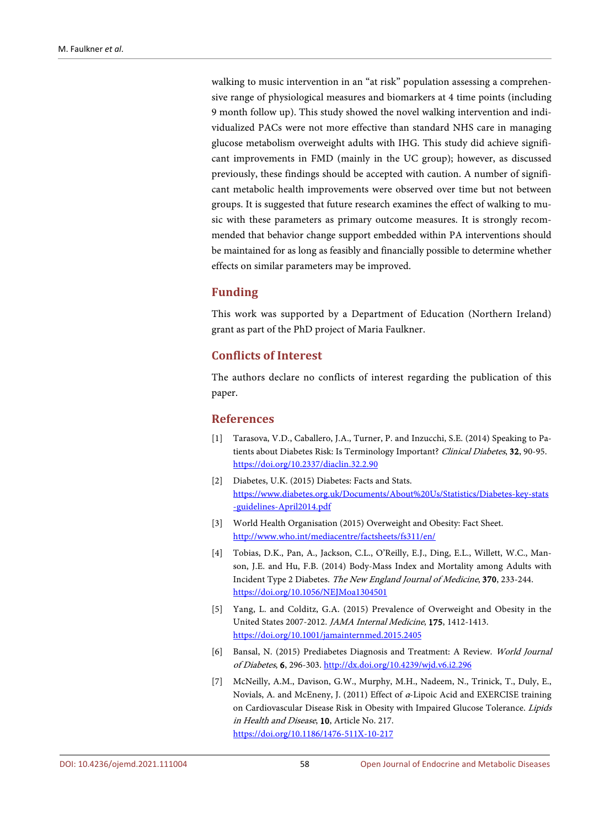walking to music intervention in an "at risk" population assessing a comprehensive range of physiological measures and biomarkers at 4 time points (including 9 month follow up). This study showed the novel walking intervention and individualized PACs were not more effective than standard NHS care in managing glucose metabolism overweight adults with IHG. This study did achieve significant improvements in FMD (mainly in the UC group); however, as discussed previously, these findings should be accepted with caution. A number of significant metabolic health improvements were observed over time but not between groups. It is suggested that future research examines the effect of walking to music with these parameters as primary outcome measures. It is strongly recommended that behavior change support embedded within PA interventions should be maintained for as long as feasibly and financially possible to determine whether effects on similar parameters may be improved.

# **Funding**

This work was supported by a Department of Education (Northern Ireland) grant as part of the PhD project of Maria Faulkner.

# **Conflicts of Interest**

The authors declare no conflicts of interest regarding the publication of this paper.

# **References**

- <span id="page-15-0"></span>[1] Tarasova, V.D., Caballero, J.A., Turner, P. and Inzucchi, S.E. (2014) Speaking to Patients about Diabetes Risk: Is Terminology Important? Clinical Diabetes, 32, 90-95. <https://doi.org/10.2337/diaclin.32.2.90>
- <span id="page-15-1"></span>[2] Diabetes, U.K. (2015) Diabetes: Facts and Stats. [https://www.diabetes.org.uk/Documents/About%20Us/Statistics/Diabetes-key-stats](https://www.diabetes.org.uk/Documents/About%20Us/Statistics/Diabetes-key-stats-guidelines-April2014.pdf) [-guidelines-April2014.pdf](https://www.diabetes.org.uk/Documents/About%20Us/Statistics/Diabetes-key-stats-guidelines-April2014.pdf)
- <span id="page-15-2"></span>[3] World Health Organisation (2015) Overweight and Obesity: Fact Sheet. <http://www.who.int/mediacentre/factsheets/fs311/en/>
- <span id="page-15-3"></span>[4] Tobias, D.K., Pan, A., Jackson, C.L., O'Reilly, E.J., Ding, E.L., Willett, W.C., Manson, J.E. and Hu, F.B. (2014) Body-Mass Index and Mortality among Adults with Incident Type 2 Diabetes. The New England Journal of Medicine, 370, 233-244. <https://doi.org/10.1056/NEJMoa1304501>
- <span id="page-15-4"></span>[5] Yang, L. and Colditz, G.A. (2015) Prevalence of Overweight and Obesity in the United States 2007-2012. JAMA Internal Medicine, 175, 1412-1413. <https://doi.org/10.1001/jamainternmed.2015.2405>
- <span id="page-15-5"></span>[6] Bansal, N. (2015) Prediabetes Diagnosis and Treatment: A Review. World Journal of Diabetes, 6, 296-303. <http://dx.doi.org/10.4239/wjd.v6.i2.296>
- <span id="page-15-6"></span>[7] McNeilly, A.M., Davison, G.W., Murphy, M.H., Nadeem, N., Trinick, T., Duly, E., Novials, A. and McEneny, J. (2011) Effect of α-Lipoic Acid and EXERCISE training on Cardiovascular Disease Risk in Obesity with Impaired Glucose Tolerance. Lipids in Health and Disease, 10, Article No. 217. <https://doi.org/10.1186/1476-511X-10-217>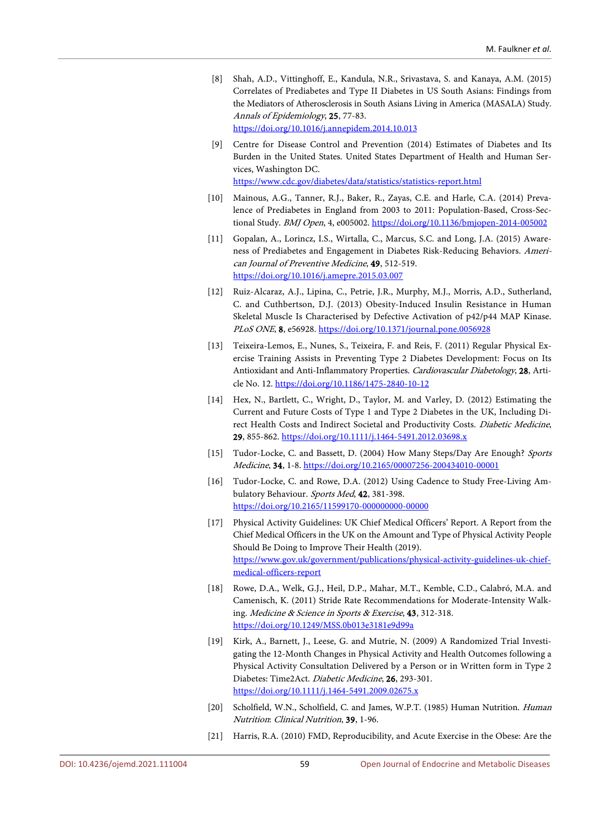<span id="page-16-0"></span>[8] Shah, A.D., Vittinghoff, E., Kandula, N.R., Srivastava, S. and Kanaya, A.M. (2015) Correlates of Prediabetes and Type II Diabetes in US South Asians: Findings from the Mediators of Atherosclerosis in South Asians Living in America (MASALA) Study. Annals of Epidemiology, 25, 77-83.

<https://doi.org/10.1016/j.annepidem.2014.10.013>

- <span id="page-16-1"></span>[9] Centre for Disease Control and Prevention (2014) Estimates of Diabetes and Its Burden in the United States. United States Department of Health and Human Services, Washington DC. <https://www.cdc.gov/diabetes/data/statistics/statistics-report.html>
- <span id="page-16-2"></span>[10] Mainous, A.G., Tanner, R.J., Baker, R., Zayas, C.E. and Harle, C.A. (2014) Prevalence of Prediabetes in England from 2003 to 2011: Population-Based, Cross-Sectional Study. BMJ Open, 4, e005002. <https://doi.org/10.1136/bmjopen-2014-005002>
- <span id="page-16-3"></span>[11] Gopalan, A., Lorincz, I.S., Wirtalla, C., Marcus, S.C. and Long, J.A. (2015) Awareness of Prediabetes and Engagement in Diabetes Risk-Reducing Behaviors. American Journal of Preventive Medicine, 49, 512-519. <https://doi.org/10.1016/j.amepre.2015.03.007>
- <span id="page-16-4"></span>[12] Ruiz-Alcaraz, A.J., Lipina, C., Petrie, J.R., Murphy, M.J., Morris, A.D., Sutherland, C. and Cuthbertson, D.J. (2013) Obesity-Induced Insulin Resistance in Human Skeletal Muscle Is Characterised by Defective Activation of p42/p44 MAP Kinase. PLoS ONE, 8, e56928. <https://doi.org/10.1371/journal.pone.0056928>
- <span id="page-16-5"></span>[13] Teixeira-Lemos, E., Nunes, S., Teixeira, F. and Reis, F. (2011) Regular Physical Exercise Training Assists in Preventing Type 2 Diabetes Development: Focus on Its Antioxidant and Anti-Inflammatory Properties. Cardiovascular Diabetology, 28, Article No. 12. <https://doi.org/10.1186/1475-2840-10-12>
- <span id="page-16-6"></span>[14] Hex, N., Bartlett, C., Wright, D., Taylor, M. and Varley, D. (2012) Estimating the Current and Future Costs of Type 1 and Type 2 Diabetes in the UK, Including Direct Health Costs and Indirect Societal and Productivity Costs. Diabetic Medicine, 29, 855-862. <https://doi.org/10.1111/j.1464-5491.2012.03698.x>
- <span id="page-16-7"></span>[15] Tudor-Locke, C. and Bassett, D. (2004) How Many Steps/Day Are Enough? Sports Medicine, 34, 1-8. <https://doi.org/10.2165/00007256-200434010-00001>
- <span id="page-16-8"></span>[16] Tudor-Locke, C. and Rowe, D.A. (2012) Using Cadence to Study Free-Living Ambulatory Behaviour. Sports Med, 42, 381-398. <https://doi.org/10.2165/11599170-000000000-00000>
- <span id="page-16-9"></span>[17] Physical Activity Guidelines: UK Chief Medical Officers' Report. A Report from the Chief Medical Officers in the UK on the Amount and Type of Physical Activity People Should Be Doing to Improve Their Health (2019). [https://www.gov.uk/government/publications/physical-activity-guidelines-uk-chief](https://www.gov.uk/government/publications/physical-activity-guidelines-uk-chief-medical-officers-report)[medical-officers-report](https://www.gov.uk/government/publications/physical-activity-guidelines-uk-chief-medical-officers-report)
- <span id="page-16-10"></span>[18] Rowe, D.A., Welk, G.J., Heil, D.P., Mahar, M.T., Kemble, C.D., Calabró, M.A. and Camenisch, K. (2011) Stride Rate Recommendations for Moderate-Intensity Walking. Medicine & Science in Sports & Exercise, 43, 312-318. <https://doi.org/10.1249/MSS.0b013e3181e9d99a>
- <span id="page-16-11"></span>[19] Kirk, A., Barnett, J., Leese, G. and Mutrie, N. (2009) A Randomized Trial Investigating the 12-Month Changes in Physical Activity and Health Outcomes following a Physical Activity Consultation Delivered by a Person or in Written form in Type 2 Diabetes: Time2Act. Diabetic Medicine, 26, 293-301. <https://doi.org/10.1111/j.1464-5491.2009.02675.x>
- <span id="page-16-12"></span>[20] Scholfield, W.N., Scholfield, C. and James, W.P.T. (1985) Human Nutrition. *Human* Nutrition: Clinical Nutrition, 39, 1-96.
- <span id="page-16-13"></span>[21] Harris, R.A. (2010) FMD, Reproducibility, and Acute Exercise in the Obese: Are the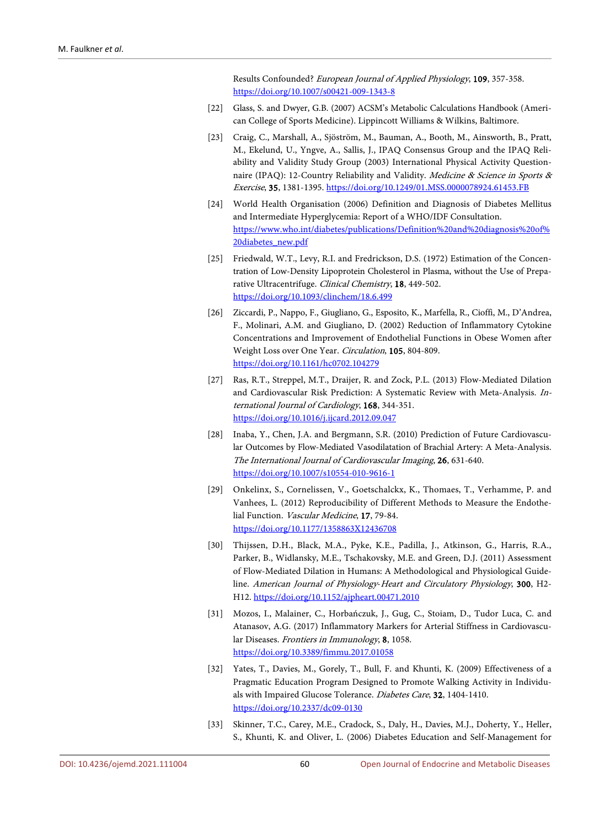Results Confounded? European Journal of Applied Physiology, 109, 357-358. <https://doi.org/10.1007/s00421-009-1343-8>

- <span id="page-17-0"></span>[22] Glass, S. and Dwyer, G.B. (2007) ACSM's Metabolic Calculations Handbook (American College of Sports Medicine). Lippincott Williams & Wilkins, Baltimore.
- <span id="page-17-1"></span>[23] Craig, C., Marshall, A., Sjöström, M., Bauman, A., Booth, M., Ainsworth, B., Pratt, M., Ekelund, U., Yngve, A., Sallis, J., IPAQ Consensus Group and the IPAQ Reliability and Validity Study Group (2003) International Physical Activity Questionnaire (IPAQ): 12-Country Reliability and Validity. Medicine & Science in Sports & Exercise, 35, 1381-1395. <https://doi.org/10.1249/01.MSS.0000078924.61453.FB>
- <span id="page-17-2"></span>[24] World Health Organisation (2006) Definition and Diagnosis of Diabetes Mellitus and Intermediate Hyperglycemia: Report of a WHO/IDF Consultation. [https://www.who.int/diabetes/publications/Definition%20and%20diagnosis%20of%](https://www.who.int/diabetes/publications/Definition%20and%20diagnosis%20of%20diabetes_new.pdf) [20diabetes\\_new.pdf](https://www.who.int/diabetes/publications/Definition%20and%20diagnosis%20of%20diabetes_new.pdf)
- <span id="page-17-3"></span>[25] Friedwald, W.T., Levy, R.I. and Fredrickson, D.S. (1972) Estimation of the Concentration of Low-Density Lipoprotein Cholesterol in Plasma, without the Use of Preparative Ultracentrifuge. Clinical Chemistry, 18, 449-502. <https://doi.org/10.1093/clinchem/18.6.499>
- <span id="page-17-4"></span>[26] Ziccardi, P., Nappo, F., Giugliano, G., Esposito, K., Marfella, R., Cioffi, M., D'Andrea, F., Molinari, A.M. and Giugliano, D. (2002) Reduction of Inflammatory Cytokine Concentrations and Improvement of Endothelial Functions in Obese Women after Weight Loss over One Year. Circulation, 105, 804-809. <https://doi.org/10.1161/hc0702.104279>
- <span id="page-17-5"></span>[27] Ras, R.T., Streppel, M.T., Draijer, R. and Zock, P.L. (2013) Flow-Mediated Dilation and Cardiovascular Risk Prediction: A Systematic Review with Meta-Analysis. International Journal of Cardiology, 168, 344-351. <https://doi.org/10.1016/j.ijcard.2012.09.047>
- <span id="page-17-6"></span>[28] Inaba, Y., Chen, J.A. and Bergmann, S.R. (2010) Prediction of Future Cardiovascular Outcomes by Flow-Mediated Vasodilatation of Brachial Artery: A Meta-Analysis. The International Journal of Cardiovascular Imaging, 26, 631-640. <https://doi.org/10.1007/s10554-010-9616-1>
- <span id="page-17-7"></span>[29] Onkelinx, S., Cornelissen, V., Goetschalckx, K., Thomaes, T., Verhamme, P. and Vanhees, L. (2012) Reproducibility of Different Methods to Measure the Endothelial Function. Vascular Medicine, 17, 79-84. <https://doi.org/10.1177/1358863X12436708>
- <span id="page-17-8"></span>[30] Thijssen, D.H., Black, M.A., Pyke, K.E., Padilla, J., Atkinson, G., Harris, R.A., Parker, B., Widlansky, M.E., Tschakovsky, M.E. and Green, D.J. (2011) Assessment of Flow-Mediated Dilation in Humans: A Methodological and Physiological Guideline. American Journal of Physiology-Heart and Circulatory Physiology, 300, H2- H12. <https://doi.org/10.1152/ajpheart.00471.2010>
- <span id="page-17-9"></span>[31] Mozos, I., Malainer, C., Horbańczuk, J., Gug, C., Stoiam, D., Tudor Luca, C. and Atanasov, A.G. (2017) Inflammatory Markers for Arterial Stiffness in Cardiovascular Diseases. Frontiers in Immunology, 8, 1058. <https://doi.org/10.3389/fimmu.2017.01058>
- <span id="page-17-10"></span>[32] Yates, T., Davies, M., Gorely, T., Bull, F. and Khunti, K. (2009) Effectiveness of a Pragmatic Education Program Designed to Promote Walking Activity in Individuals with Impaired Glucose Tolerance. Diabetes Care, 32, 1404-1410. <https://doi.org/10.2337/dc09-0130>
- <span id="page-17-11"></span>[33] Skinner, T.C., Carey, M.E., Cradock, S., Daly, H., Davies, M.J., Doherty, Y., Heller, S., Khunti, K. and Oliver, L. (2006) Diabetes Education and Self-Management for